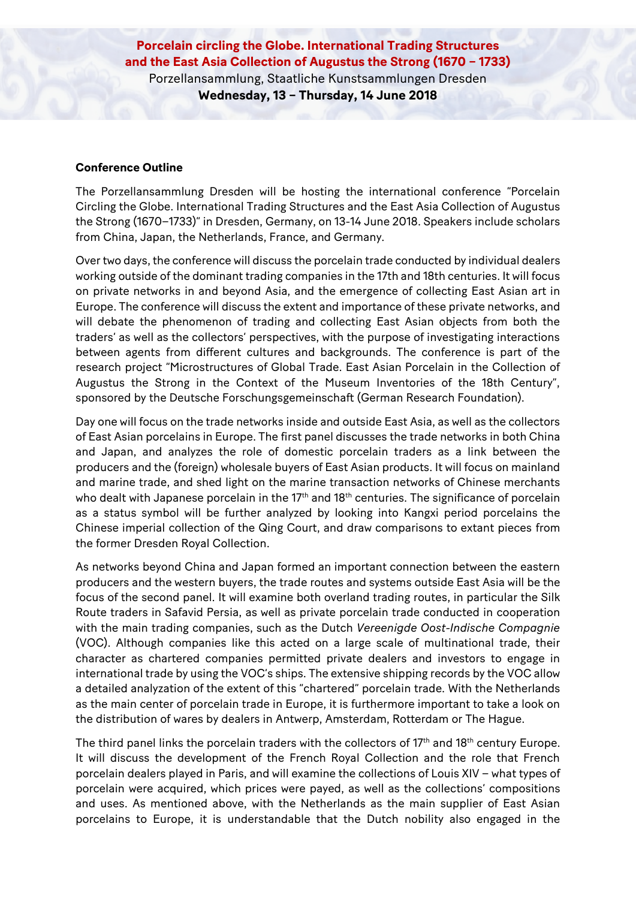**Porcelain circling the Globe. International Trading Structures and the East Asia Collection of Augustus the Strong (1670 – 1733)** Porzellansammlung, Staatliche Kunstsammlungen Dresden **Wednesday, 13 – Thursday, 14 June 2018**

## **Conference Outline**

The Porzellansammlung Dresden will be hosting the international conference "Porcelain Circling the Globe. International Trading Structures and the East Asia Collection of Augustus the Strong (1670–1733)" in Dresden, Germany, on 13-14 June 2018. Speakers include scholars from China, Japan, the Netherlands, France, and Germany.

Over two days, the conference will discuss the porcelain trade conducted by individual dealers working outside of the dominant trading companies in the 17th and 18th centuries. It will focus on private networks in and beyond Asia, and the emergence of collecting East Asian art in Europe. The conference will discuss the extent and importance of these private networks, and will debate the phenomenon of trading and collecting East Asian objects from both the traders' as well as the collectors' perspectives, with the purpose of investigating interactions between agents from different cultures and backgrounds. The conference is part of the research project "Microstructures of Global Trade. East Asian Porcelain in the Collection of Augustus the Strong in the Context of the Museum Inventories of the 18th Century", sponsored by the Deutsche Forschungsgemeinschaft (German Research Foundation).

Day one will focus on the trade networks inside and outside East Asia, as well as the collectors of East Asian porcelains in Europe. The first panel discusses the trade networks in both China and Japan, and analyzes the role of domestic porcelain traders as a link between the producers and the (foreign) wholesale buyers of East Asian products. It will focus on mainland and marine trade, and shed light on the marine transaction networks of Chinese merchants who dealt with Japanese porcelain in the 17<sup>th</sup> and 18<sup>th</sup> centuries. The significance of porcelain as a status symbol will be further analyzed by looking into Kangxi period porcelains the Chinese imperial collection of the Qing Court, and draw comparisons to extant pieces from the former Dresden Royal Collection.

As networks beyond China and Japan formed an important connection between the eastern producers and the western buyers, the trade routes and systems outside East Asia will be the focus of the second panel. It will examine both overland trading routes, in particular the Silk Route traders in Safavid Persia, as well as private porcelain trade conducted in cooperation with the main trading companies, such as the Dutch *Vereenigde Oost-Indische Compagnie* (VOC). Although companies like this acted on a large scale of multinational trade, their character as chartered companies permitted private dealers and investors to engage in international trade by using the VOC's ships. The extensive shipping records by the VOC allow a detailed analyzation of the extent of this "chartered" porcelain trade. With the Netherlands as the main center of porcelain trade in Europe, it is furthermore important to take a look on the distribution of wares by dealers in Antwerp, Amsterdam, Rotterdam or The Hague.

The third panel links the porcelain traders with the collectors of 17th and 18th century Europe. It will discuss the development of the French Royal Collection and the role that French porcelain dealers played in Paris, and will examine the collections of Louis XIV – what types of porcelain were acquired, which prices were payed, as well as the collections' compositions and uses. As mentioned above, with the Netherlands as the main supplier of East Asian porcelains to Europe, it is understandable that the Dutch nobility also engaged in the